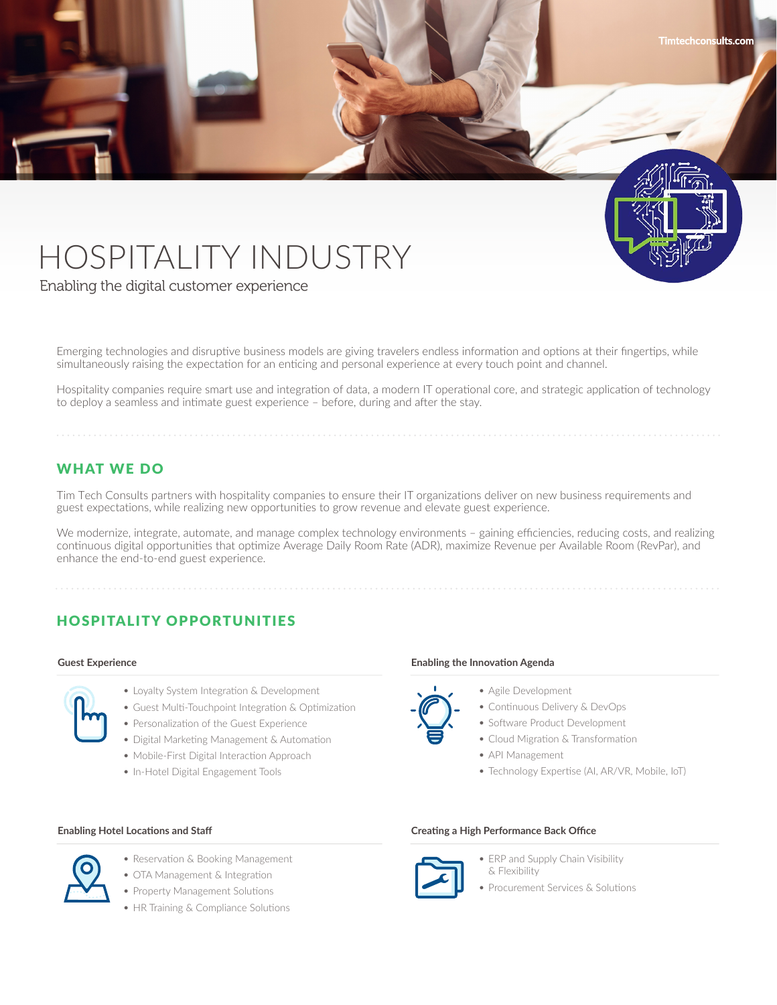

Enabling the digital customer experience

Emerging technologies and disruptive business models are giving travelers endless information and options at their fingertips, while simultaneously raising the expectation for an enticing and personal experience at every touch point and channel.

Hospitality companies require smart use and integration of data, a modern IT operational core, and strategic application of technology to deploy a seamless and intimate guest experience – before, during and after the stay.

## WHAT WE DO

Tim Tech Consults partners with hospitality companies to ensure their IT organizations deliver on new business requirements and guest expectations, while realizing new opportunities to grow revenue and elevate guest experience.

We modernize, integrate, automate, and manage complex technology environments - gaining efficiencies, reducing costs, and realizing continuous digital opportunities that optimize Average Daily Room Rate (ADR), maximize Revenue per Available Room (RevPar), and enhance the end-to-end guest experience.

# HOSPITALITY OPPORTUNITIES

#### **Guest Experience**

- 
- Loyalty System Integration & Development
- Guest Multi-Touchpoint Integration & Optimization
- Personalization of the Guest Experience
- Digital Marketing Management & Automation
- Mobile-First Digital Interaction Approach
- In-Hotel Digital Engagement Tools

#### **Enabling the Innovation Agenda**

- Agile Development
- Continuous Delivery & DevOps
- Software Product Development
- Cloud Migration & Transformation
- API Management
- Technology Expertise (AI, AR/VR, Mobile, IoT)

**Timtechconsults.com**

#### **Enabling Hotel Locations and Staff Creating a High Performance Back Office**



• ERP and Supply Chain Visibility & Flexibility

• Procurement Services & Solutions



- Reservation & Booking Management • OTA Management & Integration
- Property Management Solutions
- HR Training & Compliance Solutions